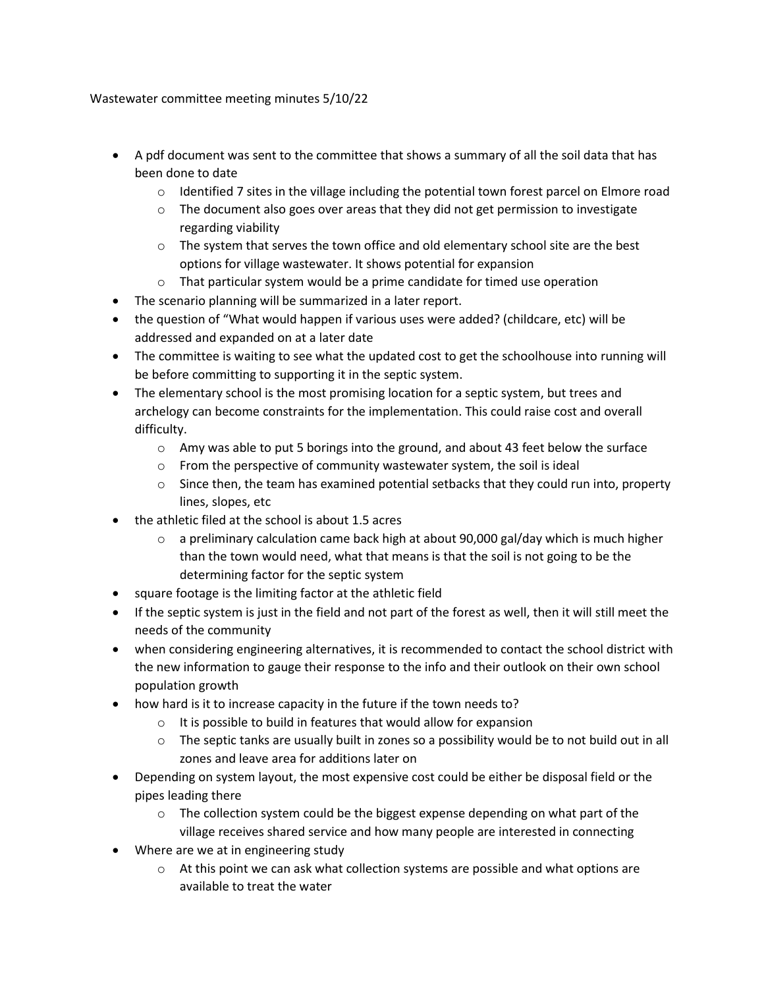Wastewater committee meeting minutes 5/10/22

- A pdf document was sent to the committee that shows a summary of all the soil data that has been done to date
	- $\circ$  Identified 7 sites in the village including the potential town forest parcel on Elmore road
	- $\circ$  The document also goes over areas that they did not get permission to investigate regarding viability
	- $\circ$  The system that serves the town office and old elementary school site are the best options for village wastewater. It shows potential for expansion
	- o That particular system would be a prime candidate for timed use operation
- The scenario planning will be summarized in a later report.
- the question of "What would happen if various uses were added? (childcare, etc) will be addressed and expanded on at a later date
- The committee is waiting to see what the updated cost to get the schoolhouse into running will be before committing to supporting it in the septic system.
- The elementary school is the most promising location for a septic system, but trees and archelogy can become constraints for the implementation. This could raise cost and overall difficulty.
	- $\circ$  Amy was able to put 5 borings into the ground, and about 43 feet below the surface
	- o From the perspective of community wastewater system, the soil is ideal
	- $\circ$  Since then, the team has examined potential setbacks that they could run into, property lines, slopes, etc
- the athletic filed at the school is about 1.5 acres
	- $\circ$  a preliminary calculation came back high at about 90,000 gal/day which is much higher than the town would need, what that means is that the soil is not going to be the determining factor for the septic system
- square footage is the limiting factor at the athletic field
- If the septic system is just in the field and not part of the forest as well, then it will still meet the needs of the community
- when considering engineering alternatives, it is recommended to contact the school district with the new information to gauge their response to the info and their outlook on their own school population growth
- how hard is it to increase capacity in the future if the town needs to?
	- o It is possible to build in features that would allow for expansion
	- $\circ$  The septic tanks are usually built in zones so a possibility would be to not build out in all zones and leave area for additions later on
- Depending on system layout, the most expensive cost could be either be disposal field or the pipes leading there
	- $\circ$  The collection system could be the biggest expense depending on what part of the village receives shared service and how many people are interested in connecting
- Where are we at in engineering study
	- $\circ$  At this point we can ask what collection systems are possible and what options are available to treat the water